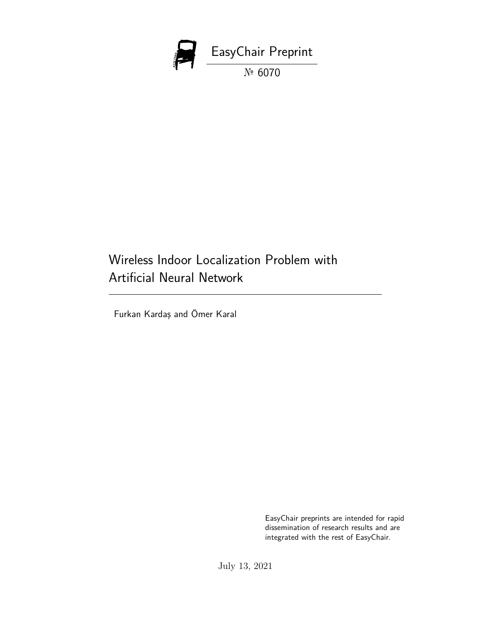

# Wireless Indoor Localization Problem with Artificial Neural Network

Furkan Kardaş and Ömer Karal

EasyChair preprints are intended for rapid dissemination of research results and are integrated with the rest of EasyChair.

July 13, 2021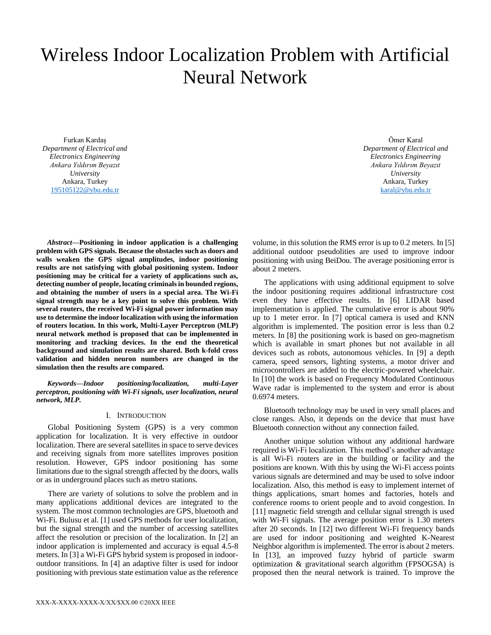# Wireless Indoor Localization Problem with Artificial Neural Network

Furkan Kardaş *Department of Electrical and Electronics Engineering Ankara Yıldırım Beyazıt University* Ankara, Turkey [195105122@ybu.edu.tr](mailto:furkankardas@gmail.com)

Ömer Karal *Department of Electrical and Electronics Engineering Ankara Yıldırım Beyazıt University* Ankara, Turkey [karal@ybu.edu.tr](mailto:karal@ybu.edu.tr)

*Abstract***—Positioning in indoor application is a challenging problem with GPS signals. Because the obstacles such as doors and walls weaken the GPS signal amplitudes, indoor positioning results are not satisfying with global positioning system. Indoor positioning may be critical for a variety of applications such as, detecting number of people, locating criminals in bounded regions, and obtaining the number of users in a special area. The Wi-Fi signal strength may be a key point to solve this problem. With several routers, the received Wi-Fi signal power information may use to determine the indoor localization with using the information of routers location. In this work, Multi-Layer Perceptron (MLP) neural network method is proposed that can be implemented in monitoring and tracking devices. In the end the theoretical background and simulation results are shared. Both k-fold cross validation and hidden neuron numbers are changed in the simulation then the results are compared.**

*Keywords—Indoor positioning/localization, multi-Layer perceptron, positioning with Wi-Fi signals, user localization, neural network, MLP.*

# I. INTRODUCTION

Global Positioning System (GPS) is a very common application for localization. It is very effective in outdoor localization. There are several satellites in space to serve devices and receiving signals from more satellites improves position resolution. However, GPS indoor positioning has some limitations due to the signal strength affected by the doors, walls or as in underground places such as metro stations.

There are variety of solutions to solve the problem and in many applications additional devices are integrated to the system. The most common technologies are GPS, bluetooth and Wi-Fi. Bulusu et al. [1] used GPS methods for user localization, but the signal strength and the number of accessing satellites affect the resolution or precision of the localization. In [2] an indoor application is implemented and accuracy is equal 4.5-8 meters. In [3] a Wi-Fi GPS hybrid system is proposed in indooroutdoor transitions. In [4] an adaptive filter is used for indoor positioning with previous state estimation value as the reference

volume, in this solution the RMS error is up to 0.2 meters. In [5] additional outdoor pseudolities are used to improve indoor positioning with using BeiDou. The average positioning error is about 2 meters.

The applications with using additional equipment to solve the indoor positioning requires additional infrastructure cost even they have effective results. In [6] LIDAR based implementation is applied. The cumulative error is about 90% up to 1 meter error. In [7] optical camera is used and KNN algorithm is implemented. The position error is less than 0.2 meters. In [8] the positioning work is based on geo-magnetism which is available in smart phones but not available in all devices such as robots, autonomous vehicles. In [9] a depth camera, speed sensors, lighting systems, a motor driver and microcontrollers are added to the electric-powered wheelchair. In [10] the work is based on Frequency Modulated Continuous Wave radar is implemented to the system and error is about 0.6974 meters.

Bluetooth technology may be used in very small places and close ranges. Also, it depends on the device that must have Bluetooth connection without any connection failed.

Another unique solution without any additional hardware required is Wi-Fi localization. This method's another advantage is all Wi-Fi routers are in the building or facility and the positions are known. With this by using the Wi-Fi access points various signals are determined and may be used to solve indoor localization. Also, this method is easy to implement internet of things applications, smart homes and factories, hotels and conference rooms to orient people and to avoid congestion. In [11] magnetic field strength and cellular signal strength is used with Wi-Fi signals. The average position error is 1.30 meters after 20 seconds. In [12] two different Wi-Fi frequency bands are used for indoor positioning and weighted K-Nearest Neighbor algorithm is implemented. The error is about 2 meters. In [13], an improved fuzzy hybrid of particle swarm optimization & gravitational search algorithm (FPSOGSA) is proposed then the neural network is trained. To improve the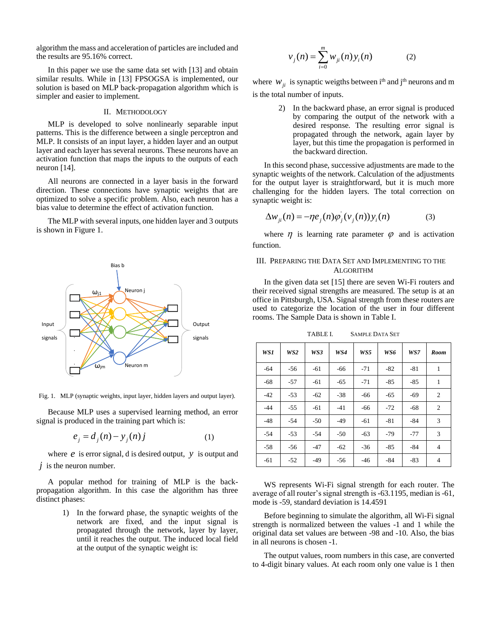algorithm the mass and acceleration of particles are included and the results are 95.16% correct.

In this paper we use the same data set with [13] and obtain similar results. While in [13] FPSOGSA is implemented, our solution is based on MLP back-propagation algorithm which is simpler and easier to implement.

### II. METHODOLOGY

MLP is developed to solve nonlinearly separable input patterns. This is the difference between a single perceptron and MLP. It consists of an input layer, a hidden layer and an output layer and each layer has several neurons. These neurons have an activation function that maps the inputs to the outputs of each neuron [14].

All neurons are connected in a layer basis in the forward direction. These connections have synaptic weights that are optimized to solve a specific problem. Also, each neuron has a bias value to determine the effect of activation function.

The MLP with several inputs, one hidden layer and 3 outputs is shown in Figure 1.



Fig. 1. MLP (synaptic weights, input layer, hidden layers and output layer).

Because MLP uses a supervised learning method, an error signal is produced in the training part which is:

$$
e_j = d_j(n) - y_j(n)j \tag{1}
$$

where  $e$  is error signal,  $d$  is desired output,  $y$  is output and  $j$  is the neuron number.

A popular method for training of MLP is the backpropagation algorithm. In this case the algorithm has three distinct phases:

> 1) In the forward phase, the synaptic weights of the network are fixed, and the input signal is propagated through the network, layer by layer, until it reaches the output. The induced local field at the output of the synaptic weight is:

$$
v_j(n) = \sum_{i=0}^{m} w_{ji}(n) y_i(n)
$$
 (2)

where  $W_{ji}$  is synaptic weigths between i<sup>th</sup> and j<sup>th</sup> neurons and m is the total number of inputs.

> 2) In the backward phase, an error signal is produced by comparing the output of the network with a desired response. The resulting error signal is propagated through the network, again layer by layer, but this time the propagation is performed in the backward direction.

In this second phase, successive adjustments are made to the synaptic weights of the network. Calculation of the adjustments for the output layer is straightforward, but it is much more challenging for the hidden layers. The total correction on synaptic weight is:

$$
\Delta w_{ji}(n) = -\eta e_j(n)\varphi_j(v_j(n))y_i(n)
$$
\n(3)

where  $\eta$  is learning rate parameter  $\varphi$  and is activation function.

# III. PREPARING THE DATA SET AND IMPLEMENTING TO THE ALGORITHM

In the given data set [15] there are seven Wi-Fi routers and their received signal strengths are measured. The setup is at an office in Pittsburgh, USA. Signal strength from these routers are used to categorize the location of the user in four different rooms. The Sample Data is shown in Table I.

*WS1 WS2 WS3 WS4 WS5 WS6 WS7 Room*

TABLE I. SAMPLE DATA SET

|       | .     | ,,,,, | .     |       | . 1.0.0 | $ \, .$ |                |
|-------|-------|-------|-------|-------|---------|---------|----------------|
| $-64$ | $-56$ | $-61$ | $-66$ | $-71$ | $-82$   | $-81$   | 1              |
| $-68$ | $-57$ | $-61$ | $-65$ | $-71$ | $-85$   | $-85$   | 1              |
| $-42$ | $-53$ | $-62$ | $-38$ | -66   | $-65$   | $-69$   | 2              |
| $-44$ | $-55$ | $-61$ | $-41$ | $-66$ | $-72$   | $-68$   | $\overline{2}$ |
| $-48$ | $-54$ | $-50$ | $-49$ | $-61$ | $-81$   | $-84$   | 3              |
| $-54$ | $-53$ | $-54$ | $-50$ | $-63$ | $-79$   | $-77$   | 3              |
| $-58$ | $-56$ | $-47$ | $-62$ | $-36$ | $-85$   | $-84$   | $\overline{4}$ |
| $-61$ | $-52$ | $-49$ | $-56$ | $-46$ | $-84$   | $-83$   | 4              |

WS represents Wi-Fi signal strength for each router. The average of all router's signal strength is -63.1195, median is -61, mode is -59, standard deviation is 14.4591

Before beginning to simulate the algorithm, all Wi-Fi signal strength is normalized between the values -1 and 1 while the original data set values are between -98 and -10. Also, the bias in all neurons is chosen -1.

The output values, room numbers in this case, are converted to 4-digit binary values. At each room only one value is 1 then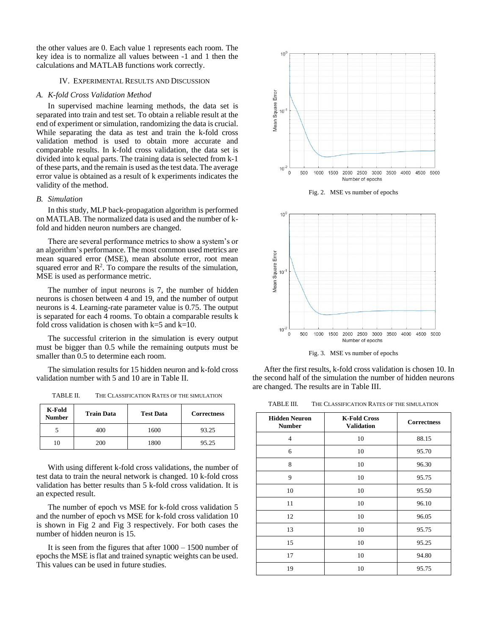the other values are 0. Each value 1 represents each room. The key idea is to normalize all values between -1 and 1 then the calculations and MATLAB functions work correctly.

#### IV. EXPERIMENTAL RESULTS AND DISCUSSION

#### *A. K-fold Cross Validation Method*

In supervised machine learning methods, the data set is separated into train and test set. To obtain a reliable result at the end of experiment or simulation, randomizing the data is crucial. While separating the data as test and train the k-fold cross validation method is used to obtain more accurate and comparable results. In k-fold cross validation, the data set is divided into k equal parts. The training data is selected from k-1 of these parts, and the remain is used as the test data. The average error value is obtained as a result of k experiments indicates the validity of the method.

#### *B. Simulation*

In this study, MLP back-propagation algorithm is performed on MATLAB. The normalized data is used and the number of kfold and hidden neuron numbers are changed.

There are several performance metrics to show a system's or an algorithm's performance. The most common used metrics are mean squared error (MSE), mean absolute error, root mean squared error and  $\mathbb{R}^2$ . To compare the results of the simulation, MSE is used as performance metric.

The number of input neurons is 7, the number of hidden neurons is chosen between 4 and 19, and the number of output neurons is 4. Learning-rate parameter value is 0.75. The output is separated for each 4 rooms. To obtain a comparable results k fold cross validation is chosen with  $k=5$  and  $k=10$ .

The successful criterion in the simulation is every output must be bigger than 0.5 while the remaining outputs must be smaller than 0.5 to determine each room.

The simulation results for 15 hidden neuron and k-fold cross validation number with 5 and 10 are in Table II.

TABLE II. THE CLASSIFICATION RATES OF THE SIMULATION

| K-Fold<br><b>Number</b> | <b>Train Data</b> | <b>Test Data</b> | <b>Correctness</b> |  |
|-------------------------|-------------------|------------------|--------------------|--|
|                         | 400               | 1600             | 93.25              |  |
| 10                      | 200               | 1800             | 95.25              |  |

With using different k-fold cross validations, the number of test data to train the neural network is changed. 10 k-fold cross validation has better results than 5 k-fold cross validation. It is an expected result.

The number of epoch vs MSE for k-fold cross validation 5 and the number of epoch vs MSE for k-fold cross validation 10 is shown in Fig 2 and Fig 3 respectively. For both cases the number of hidden neuron is 15.

It is seen from the figures that after 1000 – 1500 number of epochs the MSE is flat and trained synaptic weights can be used. This values can be used in future studies.







Fig. 3. MSE vs number of epochs

After the first results, k-fold cross validation is chosen 10. In the second half of the simulation the number of hidden neurons are changed. The results are in Table III.

TABLE III. THE CLASSIFICATION RATES OF THE SIMULATION

| <b>Hidden Neuron</b><br><b>Number</b> | <b>K-Fold Cross</b><br><b>Validation</b> | <b>Correctness</b> |
|---------------------------------------|------------------------------------------|--------------------|
| $\overline{4}$                        | 10                                       | 88.15              |
| 6                                     | 10                                       | 95.70              |
| 8                                     | 10                                       | 96.30              |
| 9                                     | 10                                       | 95.75              |
| 10                                    | 10                                       | 95.50              |
| 11                                    | 10                                       | 96.10              |
| 12                                    | 10                                       | 96.05              |
| 13                                    | 10                                       | 95.75              |
| 15                                    | 10                                       | 95.25              |
| 17                                    | 10                                       | 94.80              |
| 19                                    | 10                                       | 95.75              |